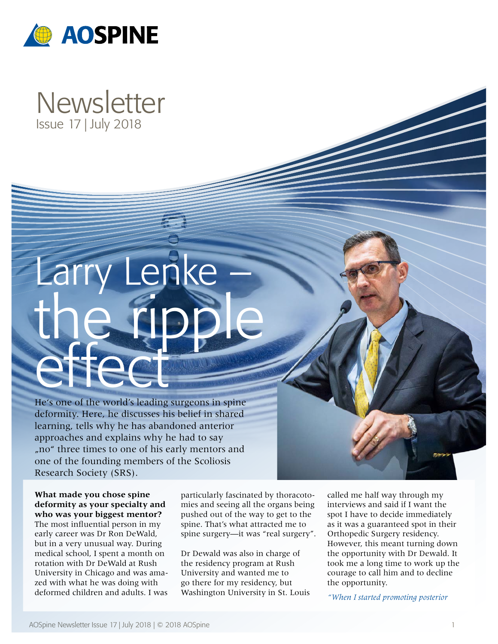

# **Newsletter** Issue 17 | July 2018

# ke the ripple effect

He's one of the world's leading surgeons in spine deformity. Here, he discusses his belief in shared learning, tells why he has abandoned anterior approaches and explains why he had to say "no" three times to one of his early mentors and one of the founding members of the Scoliosis Research Society (SRS).

**What made you chose spine deformity as your specialty and who was your biggest mentor?** The most influential person in my early career was Dr Ron DeWald, but in a very unusual way. During medical school, I spent a month on rotation with Dr DeWald at Rush University in Chicago and was amazed with what he was doing with deformed children and adults. I was

particularly fascinated by thoracotomies and seeing all the organs being pushed out of the way to get to the spine. That's what attracted me to spine surgery—it was "real surgery".

Dr Dewald was also in charge of the residency program at Rush University and wanted me to go there for my residency, but Washington University in St. Louis called me half way through my interviews and said if I want the spot I have to decide immediately as it was a guaranteed spot in their Orthopedic Surgery residency. However, this meant turning down the opportunity with Dr Dewald. It took me a long time to work up the courage to call him and to decline the opportunity.

*"When I started promoting posterior*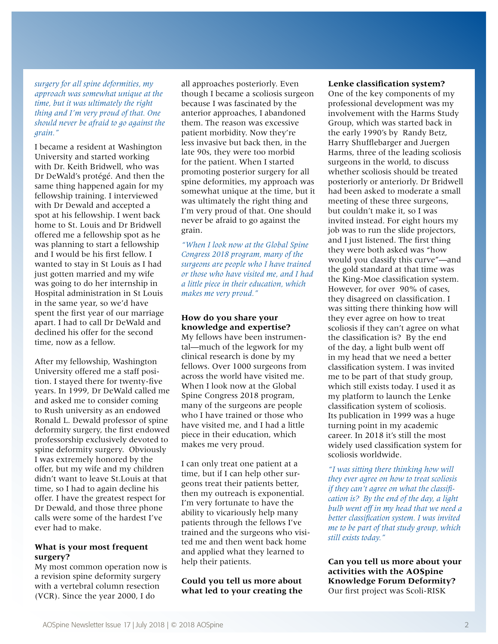*surgery for all spine deformities, my approach was somewhat unique at the time, but it was ultimately the right thing and I'm very proud of that. One should never be afraid to go against the grain."*

I became a resident at Washington University and started working with Dr. Keith Bridwell, who was Dr DeWald's protégé. And then the same thing happened again for my fellowship training. I interviewed with Dr Dewald and accepted a spot at his fellowship. I went back home to St. Louis and Dr Bridwell offered me a fellowship spot as he was planning to start a fellowship and I would be his first fellow. I wanted to stay in St Louis as I had just gotten married and my wife was going to do her internship in Hospital administration in St Louis in the same year, so we'd have spent the first year of our marriage apart. I had to call Dr DeWald and declined his offer for the second time, now as a fellow.

After my fellowship, Washington University offered me a staff position. I stayed there for twenty-five years. In 1999, Dr DeWald called me and asked me to consider coming to Rush university as an endowed Ronald L. Dewald professor of spine deformity surgery, the first endowed professorship exclusively devoted to spine deformity surgery. Obviously I was extremely honored by the offer, but my wife and my children didn't want to leave St.Louis at that time, so I had to again decline his offer. I have the greatest respect for Dr Dewald, and those three phone calls were some of the hardest I've ever had to make.

#### **What is your most frequent surgery?**

My most common operation now is a revision spine deformity surgery with a vertebral column resection (VCR). Since the year 2000, I do

all approaches posteriorly. Even though I became a scoliosis surgeon because I was fascinated by the anterior approaches, I abandoned them. The reason was excessive patient morbidity. Now they're less invasive but back then, in the late 90s, they were too morbid for the patient. When I started promoting posterior surgery for all spine deformities, my approach was somewhat unique at the time, but it was ultimately the right thing and I'm very proud of that. One should never be afraid to go against the grain.

*"When I look now at the Global Spine Congress 2018 program, many of the surgeons are people who I have trained or those who have visited me, and I had a little piece in their education, which makes me very proud."*

### **How do you share your knowledge and expertise?**

My fellows have been instrumental—much of the legwork for my clinical research is done by my fellows. Over 1000 surgeons from across the world have visited me. When I look now at the Global Spine Congress 2018 program, many of the surgeons are people who I have trained or those who have visited me, and I had a little piece in their education, which makes me very proud.

I can only treat one patient at a time, but if I can help other surgeons treat their patients better, then my outreach is exponential. I'm very fortunate to have the ability to vicariously help many patients through the fellows I've trained and the surgeons who visited me and then went back home and applied what they learned to help their patients.

## **Could you tell us more about what led to your creating the**

#### **Lenke classification system?**

One of the key components of my professional development was my involvement with the Harms Study Group, which was started back in the early 1990's by Randy Betz, Harry Shufflebarger and Juergen Harms, three of the leading scoliosis surgeons in the world, to discuss whether scoliosis should be treated posteriorly or anteriorly. Dr Bridwell had been asked to moderate a small meeting of these three surgeons, but couldn't make it, so I was invited instead. For eight hours my job was to run the slide projectors, and I just listened. The first thing they were both asked was "how would you classify this curve"—and the gold standard at that time was the King-Moe classification system. However, for over 90% of cases, they disagreed on classification. I was sitting there thinking how will they ever agree on how to treat scoliosis if they can't agree on what the classification is? By the end of the day, a light bulb went off in my head that we need a better classification system. I was invited me to be part of that study group, which still exists today. I used it as my platform to launch the Lenke classification system of scoliosis. Its publication in 1999 was a huge turning point in my academic career. In 2018 it's still the most widely used classification system for scoliosis worldwide.

*"I was sitting there thinking how will they ever agree on how to treat scoliosis if they can't agree on what the classification is? By the end of the day, a light bulb went off in my head that we need a better classification system. I was invited me to be part of that study group, which still exists today."*

**Can you tell us more about your activities with the AOSpine Knowledge Forum Deformity?** Our first project was Scoli-RISK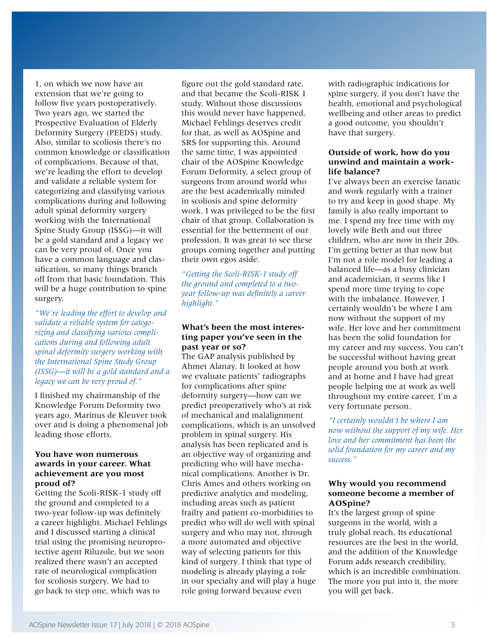1, on which we now have an extension that we're going to follow five years postoperatively. Two years ago, we started the Prospective Evaluation of Elderly Deformity Surgery (PEEDS) study. Also, similar to scoliosis there's no common knowledge or classification of complications. Because of that, we're leading the effort to develop and validate a reliable system for categorizing and classifying various complications during and following adult spinal deformity surgery working with the International Spine Study Group (ISSG)—it will be a gold standard and a legacy we can be very proud of. Once you have a common language and classification, so many things branch off from that basic foundation. This will be a huge contribution to spine surgery.

*"We're leading the effort to develop and validate a reliable system for categorizing and classifying various complications during and following adult spinal deformity surgery working with the International Spine Study Group (ISSG)—it will be a gold standard and a legacy we can be very proud of."*

I finished my chairmanship of the Knowledge Forum Deformity two years ago. Marinus de Kleuver took over and is doing a phenomenal job leading those efforts.

#### **You have won numerous awards in your career. What achievement are you most proud of?**

Getting the Scoli-RISK-1 study off the ground and completed to a two-year follow-up was definitely a career highlight. Michael Fehlings and I discussed starting a clinical trial using the promising neuroprotective agent Riluzole, but we soon realized there wasn't an accepted rate of neurological complication for scoliosis surgery. We had to go back to step one, which was to

figure out the gold standard rate, and that became the Scoli-RISK 1 study. Without those discussions this would never have happened, Michael Fehlings deserves credit for that, as well as AOSpine and SRS for supporting this. Around the same time, I was appointed chair of the AOSpine Knowledge Forum Deformity, a select group of surgeons from around world who are the best academically minded in scoliosis and spine deformity work. I was privileged to be the first chair of that group. Collaboration is essential for the betterment of our profession. It was great to see these groups coming together and putting their own egos aside.

*"Getting the Scoli-RISK-1 study off the ground and completed to a twoyear follow-up was definitely a career highlight."*

#### **What's been the most interesting paper you've seen in the past year or so?**

The GAP analysis published by Ahmet Alanay. It looked at how we evaluate patients' radiographs for complications after spine deformity surgery—how can we predict preoperatively who's at risk of mechanical and malalignment complications, which is an unsolved problem in spinal surgery. His analysis has been replicated and is an objective way of organizing and predicting who will have mechanical complications. Another is Dr. Chris Ames and others working on predictive analytics and modeling, including areas such as patient frailty and patient co-morbidities to predict who will do well with spinal surgery and who may not, through a more automated and objective way of selecting patients for this kind of surgery. I think that type of modeling is already playing a role in our specialty and will play a huge role going forward because even

with radiographic indications for spine surgery, if you don't have the health, emotional and psychological wellbeing and other areas to predict a good outcome, you shouldn't have that surgery.

#### **Outside of work, how do you unwind and maintain a worklife balance?**

I've always been an exercise fanatic and work regularly with a trainer to try and keep in good shape. My family is also really important to me. I spend my free time with my lovely wife Beth and our three children, who are now in their 20s. I'm getting better at that now but I'm not a role model for leading a balanced life—as a busy clinician and academician, it seems like I spend more time trying to cope with the imbalance. However, I certainly wouldn't be where I am now without the support of my wife. Her love and her commitment has been the solid foundation for my career and my success. You can't be successful without having great people around you both at work and at home and I have had great people helping me at work as well throughout my entire career. I'm a very fortunate person.

*"I certainly wouldn't be where I am now without the support of my wife. Her love and her commitment has been the solid foundation for my career and my success."*

#### **Why would you recommend someone become a member of AOSpine?**

It's the largest group of spine surgeons in the world, with a truly global reach. Its educational resources are the best in the world, and the addition of the Knowledge Forum adds research credibility, which is an incredible combination. The more you put into it, the more you will get back.